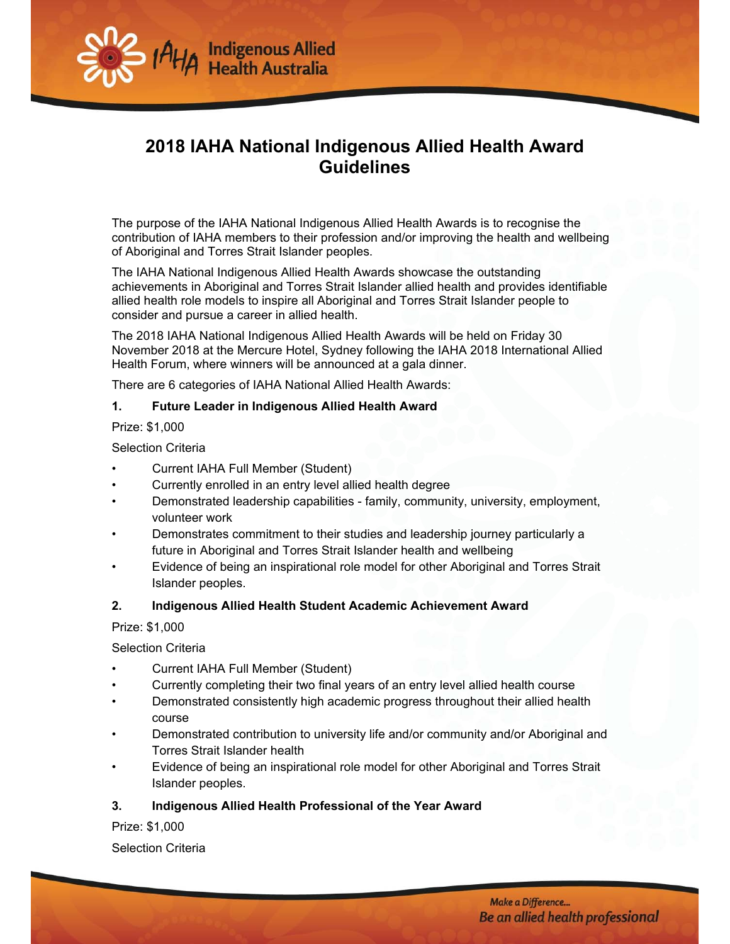

# **2018 IAHA National Indigenous Allied Health Award Guidelines**

The purpose of the IAHA National Indigenous Allied Health Awards is to recognise the contribution of IAHA members to their profession and/or improving the health and wellbeing of Aboriginal and Torres Strait Islander peoples.

The IAHA National Indigenous Allied Health Awards showcase the outstanding achievements in Aboriginal and Torres Strait Islander allied health and provides identifiable allied health role models to inspire all Aboriginal and Torres Strait Islander people to consider and pursue a career in allied health.

The 2018 IAHA National Indigenous Allied Health Awards will be held on Friday 30 November 2018 at the Mercure Hotel, Sydney following the IAHA 2018 International Allied Health Forum, where winners will be announced at a gala dinner.

There are 6 categories of IAHA National Allied Health Awards:

#### **1. Future Leader in Indigenous Allied Health Award**

Prize: \$1,000

Selection Criteria

- Current IAHA Full Member (Student)
- Currently enrolled in an entry level allied health degree
- Demonstrated leadership capabilities family, community, university, employment, volunteer work
- Demonstrates commitment to their studies and leadership journey particularly a future in Aboriginal and Torres Strait Islander health and wellbeing
- Evidence of being an inspirational role model for other Aboriginal and Torres Strait Islander peoples.

#### **2. Indigenous Allied Health Student Academic Achievement Award**

Prize: \$1,000

Selection Criteria

- Current IAHA Full Member (Student)
- Currently completing their two final years of an entry level allied health course
- Demonstrated consistently high academic progress throughout their allied health course
- Demonstrated contribution to university life and/or community and/or Aboriginal and Torres Strait Islander health
- Evidence of being an inspirational role model for other Aboriginal and Torres Strait Islander peoples.

#### **3. Indigenous Allied Health Professional of the Year Award**

Prize: \$1,000

Selection Criteria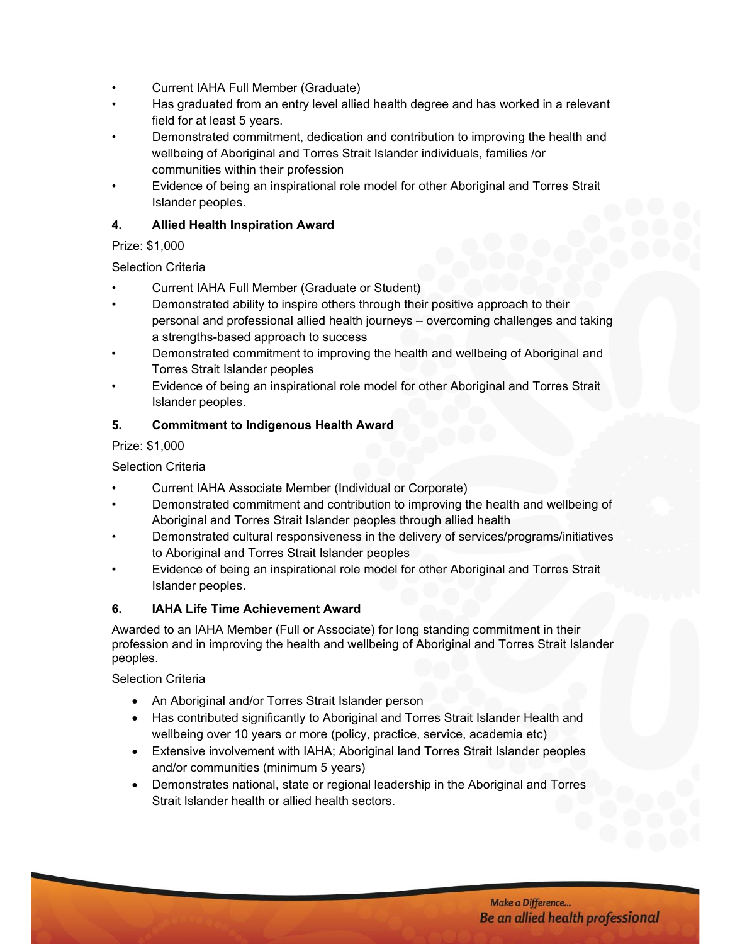- Current IAHA Full Member (Graduate)
- Has graduated from an entry level allied health degree and has worked in a relevant field for at least 5 years.
- Demonstrated commitment, dedication and contribution to improving the health and wellbeing of Aboriginal and Torres Strait Islander individuals, families /or communities within their profession
- Evidence of being an inspirational role model for other Aboriginal and Torres Strait Islander peoples.

#### **4. Allied Health Inspiration Award**

#### Prize: \$1,000

## Selection Criteria

- Current IAHA Full Member (Graduate or Student)
- Demonstrated ability to inspire others through their positive approach to their personal and professional allied health journeys – overcoming challenges and taking a strengths-based approach to success
- Demonstrated commitment to improving the health and wellbeing of Aboriginal and Torres Strait Islander peoples
- Evidence of being an inspirational role model for other Aboriginal and Torres Strait Islander peoples.

## **5. Commitment to Indigenous Health Award**

## Prize: \$1,000

## Selection Criteria

- Current IAHA Associate Member (Individual or Corporate)
- Demonstrated commitment and contribution to improving the health and wellbeing of Aboriginal and Torres Strait Islander peoples through allied health
- Demonstrated cultural responsiveness in the delivery of services/programs/initiatives to Aboriginal and Torres Strait Islander peoples
- Evidence of being an inspirational role model for other Aboriginal and Torres Strait Islander peoples.

#### **6. IAHA Life Time Achievement Award**

Awarded to an IAHA Member (Full or Associate) for long standing commitment in their profession and in improving the health and wellbeing of Aboriginal and Torres Strait Islander peoples.

Selection Criteria

- An Aboriginal and/or Torres Strait Islander person
- Has contributed significantly to Aboriginal and Torres Strait Islander Health and wellbeing over 10 years or more (policy, practice, service, academia etc)
- Extensive involvement with IAHA; Aboriginal land Torres Strait Islander peoples and/or communities (minimum 5 years)
- Demonstrates national, state or regional leadership in the Aboriginal and Torres Strait Islander health or allied health sectors.